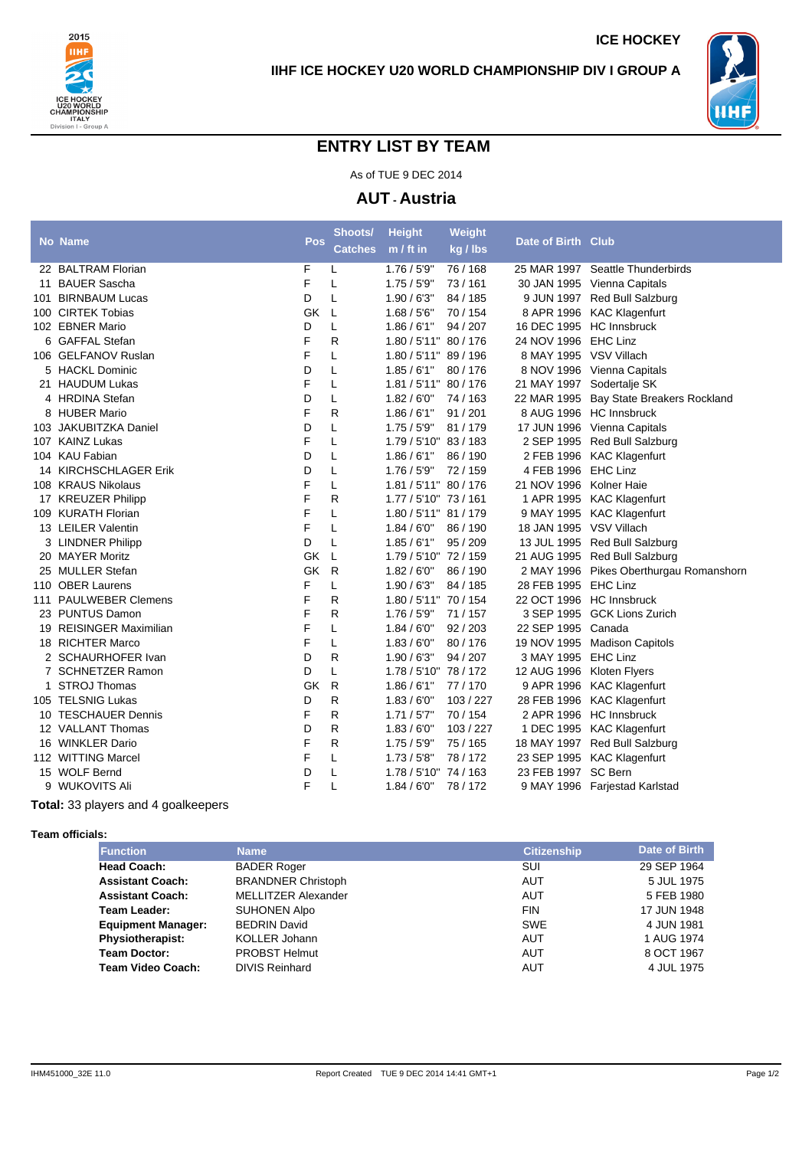



**ICE HOCKEY**

## **ENTRY LIST BY TEAM**

As of TUE 9 DEC 2014

**AUT - Austria**

|    | No Name                 | Pos | Shoots/        | <b>Height</b>         | Weight    | Date of Birth Club        |                                         |
|----|-------------------------|-----|----------------|-----------------------|-----------|---------------------------|-----------------------------------------|
|    |                         |     | <b>Catches</b> | $m / ft$ in           | kg / lbs  |                           |                                         |
|    | 22 BALTRAM Florian      | F   | L              | 1.76/5'9''            | 76 / 168  |                           | 25 MAR 1997 Seattle Thunderbirds        |
| 11 | <b>BAUER Sascha</b>     | F   | L              | 1.75/5'9"             | 73 / 161  |                           | 30 JAN 1995 Vienna Capitals             |
|    | 101 BIRNBAUM Lucas      | D   | L              | 1.90/6'3''            | 84 / 185  |                           | 9 JUN 1997 Red Bull Salzburg            |
|    | 100 CIRTEK Tobias       | GK  | L              | 1.68 / 5'6''          | 70 / 154  |                           | 8 APR 1996 KAC Klagenfurt               |
|    | 102 EBNER Mario         | D   | L              | 1.86/6'1"             | 94 / 207  | 16 DEC 1995 HC Innsbruck  |                                         |
|    | 6 GAFFAL Stefan         | F   | R              | 1.80 / 5'11" 80 / 176 |           | 24 NOV 1996 EHC Linz      |                                         |
|    | 106 GELFANOV Ruslan     | F   | L              | 1.80 / 5'11" 89 / 196 |           | 8 MAY 1995 VSV Villach    |                                         |
|    | 5 HACKL Dominic         | D   | L              | 1.85/6'1"             | 80/176    |                           | 8 NOV 1996 Vienna Capitals              |
|    | 21 HAUDUM Lukas         | F   | L              | 1.81 / 5'11" 80 / 176 |           | 21 MAY 1997 Sodertalje SK |                                         |
|    | 4 HRDINA Stefan         | D   | L              | 1.82/6'0''            | 74/163    |                           | 22 MAR 1995 Bay State Breakers Rockland |
|    | 8 HUBER Mario           | F   | R              | 1.86/6'1"             | 91/201    |                           | 8 AUG 1996 HC Innsbruck                 |
|    | 103 JAKUBITZKA Daniel   | D   | L              | 1.75/5'9"             | 81 / 179  |                           | 17 JUN 1996 Vienna Capitals             |
|    | 107 KAINZ Lukas         | F   | L              | 1.79 / 5'10" 83 / 183 |           |                           | 2 SEP 1995 Red Bull Salzburg            |
|    | 104 KAU Fabian          | D   | L              | 1.86/6'1''            | 86 / 190  |                           | 2 FEB 1996 KAC Klagenfurt               |
|    | 14 KIRCHSCHLAGER Erik   | D   | L              | 1.76 / 5'9"           | 72/159    | 4 FEB 1996 EHC Linz       |                                         |
|    | 108 KRAUS Nikolaus      | F   | L              | 1.81 / 5'11" 80 / 176 |           | 21 NOV 1996 Kolner Haie   |                                         |
|    | 17 KREUZER Philipp      | F   | R              | 1.77 / 5'10" 73 / 161 |           |                           | 1 APR 1995 KAC Klagenfurt               |
|    | 109 KURATH Florian      | F   | L              | 1.80 / 5'11" 81 / 179 |           |                           | 9 MAY 1995 KAC Klagenfurt               |
|    | 13 LEILER Valentin      | F   | L              | 1.84/6'0''            | 86 / 190  | 18 JAN 1995 VSV Villach   |                                         |
|    | 3 LINDNER Philipp       | D   | L              | 1.85/6'1"             | 95/209    |                           | 13 JUL 1995 Red Bull Salzburg           |
|    | 20 MAYER Moritz         | GK  | L              | 1.79 / 5'10" 72 / 159 |           |                           | 21 AUG 1995 Red Bull Salzburg           |
|    | 25 MULLER Stefan        | GK  | R              | 1.82/6'0''            | 86 / 190  |                           | 2 MAY 1996 Pikes Oberthurgau Romanshorn |
|    | 110 OBER Laurens        | F   | L              | 1.90/6'3''            | 84 / 185  | 28 FEB 1995 EHC Linz      |                                         |
|    | 111 PAULWEBER Clemens   | F   | R              | 1.80 / 5'11" 70 / 154 |           | 22 OCT 1996 HC Innsbruck  |                                         |
|    | 23 PUNTUS Damon         | F   | R              | 1.76/5'9''            | 71/157    |                           | 3 SEP 1995 GCK Lions Zurich             |
|    | 19 REISINGER Maximilian | F   | L              | 1.84/6'0''            | 92/203    | 22 SEP 1995 Canada        |                                         |
|    | 18 RICHTER Marco        | F   | L              | 1.83/6'0''            | 80/176    | 19 NOV 1995               | <b>Madison Capitols</b>                 |
|    | 2 SCHAURHOFER Ivan      | D   | R              | 1.90/6'3''            | 94 / 207  | 3 MAY 1995 EHC Linz       |                                         |
|    | 7 SCHNETZER Ramon       | D   | L              | 1.78 / 5'10" 78 / 172 |           | 12 AUG 1996 Kloten Flyers |                                         |
|    | <b>STROJ Thomas</b>     | GK  | $\mathsf{R}$   | 1.86/6'1"             | 77/170    |                           | 9 APR 1996 KAC Klagenfurt               |
|    | 105 TELSNIG Lukas       | D   | R              | 1.83/6'0''            | 103 / 227 |                           | 28 FEB 1996 KAC Klagenfurt              |
|    | 10 TESCHAUER Dennis     | F   | R              | 1.71/5'7"             | 70 / 154  |                           | 2 APR 1996 HC Innsbruck                 |
|    | 12 VALLANT Thomas       | D   | R              | 1.83/6'0''            | 103 / 227 |                           | 1 DEC 1995 KAC Klagenfurt               |
|    | 16 WINKLER Dario        | F   | R              | 1.75/5'9"             | 75 / 165  |                           | 18 MAY 1997 Red Bull Salzburg           |
|    | 112 WITTING Marcel      | F   | L              | 1.73/5'8''            | 78/172    |                           | 23 SEP 1995 KAC Klagenfurt              |
|    | 15 WOLF Bernd           | D   | L              | 1.78 / 5'10" 74 / 163 |           | 23 FEB 1997 SC Bern       |                                         |
|    | 9 WUKOVITS Ali          | F   | L              | 1.84/6'0''            | 78 / 172  |                           | 9 MAY 1996 Farjestad Karlstad           |
|    |                         |     |                |                       |           |                           |                                         |

**Total:** 33 players and 4 goalkeepers

## **Team officials:**

| <b>Function</b>           | <b>Name</b>                | <b>Citizenship</b> | Date of Birth |
|---------------------------|----------------------------|--------------------|---------------|
| <b>Head Coach:</b>        | <b>BADER Roger</b>         | SUI                | 29 SEP 1964   |
| <b>Assistant Coach:</b>   | <b>BRANDNER Christoph</b>  | AUT                | 5 JUL 1975    |
| <b>Assistant Coach:</b>   | <b>MELLITZER Alexander</b> | AUT                | 5 FEB 1980    |
| Team Leader:              | SUHONEN Alpo               | <b>FIN</b>         | 17 JUN 1948   |
| <b>Equipment Manager:</b> | <b>BEDRIN David</b>        | <b>SWE</b>         | 4 JUN 1981    |
| <b>Physiotherapist:</b>   | KOLLER Johann              | AUT                | 1 AUG 1974    |
| <b>Team Doctor:</b>       | <b>PROBST Helmut</b>       | <b>AUT</b>         | 8 OCT 1967    |
| Team Video Coach:         | <b>DIVIS Reinhard</b>      | <b>AUT</b>         | 4 JUL 1975    |